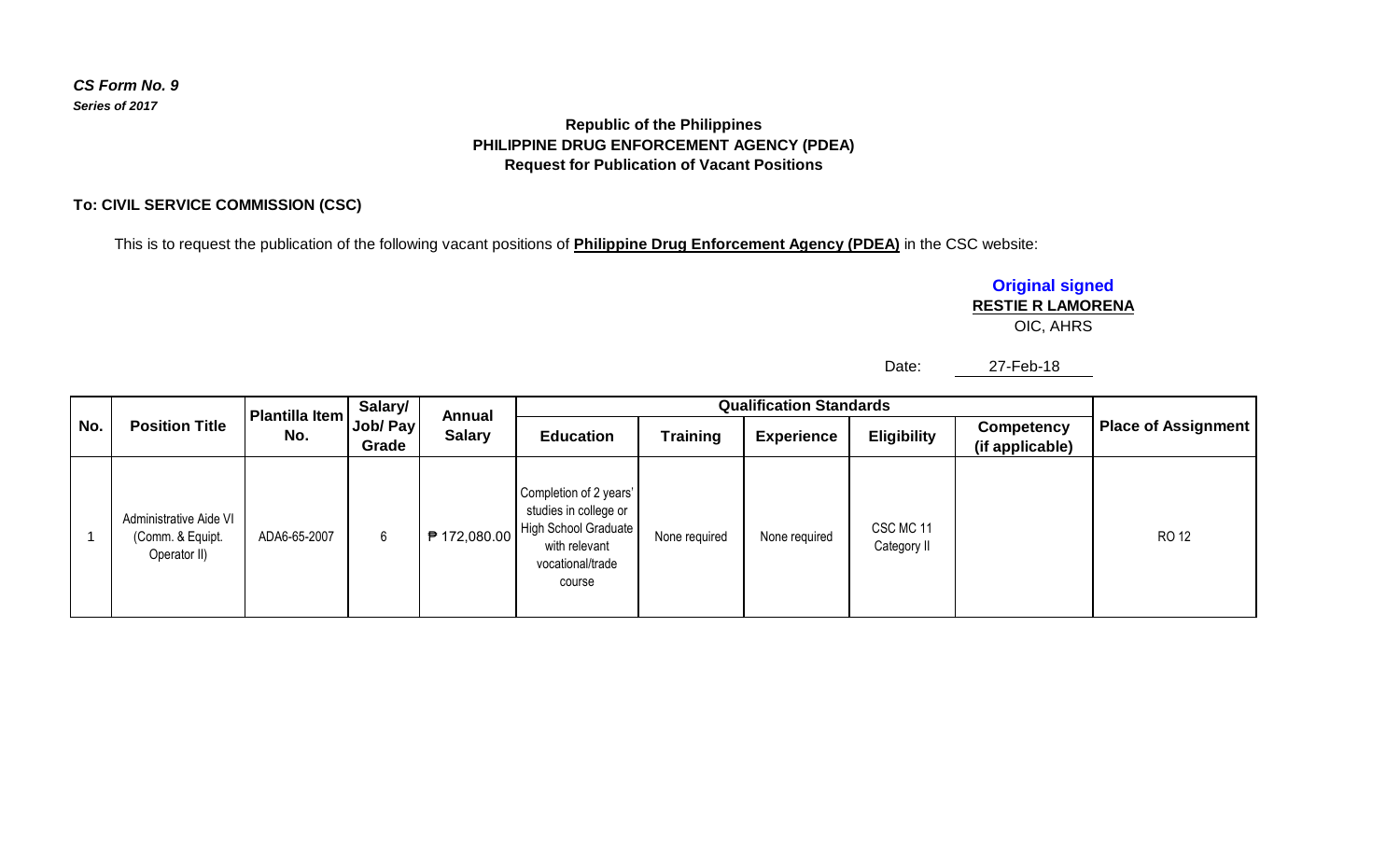## **Republic of the Philippines PHILIPPINE DRUG ENFORCEMENT AGENCY (PDEA) Request for Publication of Vacant Positions**

### **To: CIVIL SERVICE COMMISSION (CSC)**

This is to request the publication of the following vacant positions of **Philippine Drug Enforcement Agency (PDEA)** in the CSC website:

# **Original signed**

## **RESTIE R LAMORENA**

OIC, AHRS

Date: 27-Feb-18

| No. | <b>Position Title</b>                                      | Plantilla Item<br>No. | Salary/<br>Job/ Pay<br>Grade | Annual<br><b>Salary</b> | <b>Qualification Standards</b>                                                                                         |               |                   |                          |                                      |                            |
|-----|------------------------------------------------------------|-----------------------|------------------------------|-------------------------|------------------------------------------------------------------------------------------------------------------------|---------------|-------------------|--------------------------|--------------------------------------|----------------------------|
|     |                                                            |                       |                              |                         | <b>Education</b>                                                                                                       | Training      | <b>Experience</b> | <b>Eligibility</b>       | <b>Competency</b><br>(if applicable) | <b>Place of Assignment</b> |
|     | Administrative Aide VI<br>(Comm. & Equipt.<br>Operator II) | ADA6-65-2007          | 6                            | ₱ 172,080.00            | Completion of 2 years'<br>studies in college or<br>High School Graduate<br>with relevant<br>vocational/trade<br>course | None required | None required     | CSC MC 11<br>Category II |                                      | RO 12                      |

*CS Form No. 9 Series of 2017*